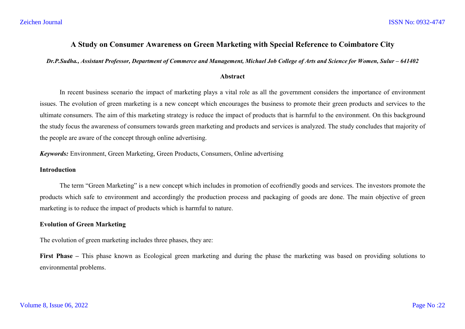# **A Study on Consumer Awareness on Green Marketing with Special Reference to Coimbatore City**

*Dr.P.Sudha., Assistant Professor, Department of Commerce and Management, Michael Job College of Arts and Science for Women, Sulur – 641402*

#### **Abstract**

In recent business scenario the impact of marketing plays a vital role as all the government considers the importance of environment issues. The evolution of green marketing is a new concept which encourages the business to promote their green products and services to the ultimate consumers. The aim of this marketing strategy is reduce the impact of products that is harmful to the environment. On this background the study focus the awareness of consumers towards green marketing and products and services is analyzed. The study concludes that majority of the people are aware of the concept through online advertising.

*Keywords:* Environment, Green Marketing, Green Products, Consumers, Online advertising

#### **Introduction**

The term "Green Marketing" is a new concept which includes in promotion of ecofriendly goods and services. The investors promote the products which safe to environment and accordingly the production process and packaging of goods are done. The main objective of green marketing is to reduce the impact of products which is harmful to nature.

## **Evolution of Green Marketing**

The evolution of green marketing includes three phases, they are:

**First Phase –** This phase known as Ecological green marketing and during the phase the marketing was based on providing solutions to environmental problems.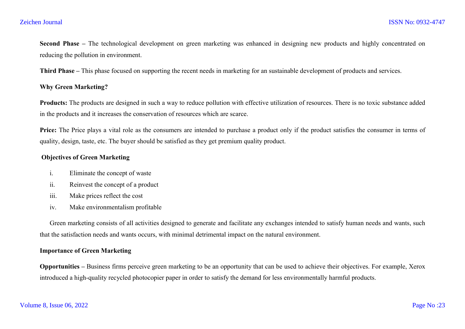**Second Phase –** The technological development on green marketing was enhanced in designing new products and highly concentrated on reducing the pollution in environment.

**Third Phase –** This phase focused on supporting the recent needs in marketing for an sustainable development of products and services.

## **Why Green Marketing?**

**Products:** The products are designed in such a way to reduce pollution with effective utilization of resources. There is no toxic substance added in the products and it increases the conservation of resources which are scarce.

**Price:** The Price plays a vital role as the consumers are intended to purchase a product only if the product satisfies the consumer in terms of quality, design, taste, etc. The buyer should be satisfied as they get premium quality product.

## **Objectives of Green Marketing**

- i. Eliminate the concept of waste
- ii. Reinvest the concept of a product
- iii. Make prices reflect the cost
- iv. Make environmentalism profitable

Green marketing consists of all activities designed to generate and facilitate any exchanges intended to satisfy human needs and wants, such that the satisfaction needs and wants occurs, with minimal detrimental impact on the natural environment.

## **Importance of Green Marketing**

**Opportunities –** Business firms perceive green marketing to be an opportunity that can be used to achieve their objectives. For example, Xerox introduced a high-quality recycled photocopier paper in order to satisfy the demand for less environmentally harmful products.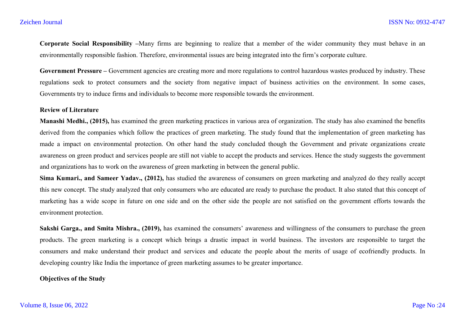**Corporate Social Responsibility –**Many firms are beginning to realize that a member of the wider community they must behave in an environmentally responsible fashion. Therefore, environmental issues are being integrated into the firm's corporate culture.

Government Pressure – Government agencies are creating more and more regulations to control hazardous wastes produced by industry. These regulations seek to protect consumers and the society from negative impact of business activities on the environment. In some cases, Governments try to induce firms and individuals to become more responsible towards the environment.

#### **Review of Literature**

**Manashi Medhi., (2015),** has examined the green marketing practices in various area of organization. The study has also examined the benefits derived from the companies which follow the practices of green marketing. The study found that the implementation of green marketing has made a impact on environmental protection. On other hand the study concluded though the Government and private organizations create awareness on green product and services people are still not viable to accept the products and services. Hence the study suggests the government and organizations has to work on the awareness of green marketing in between the general public.

**Sima Kumari., and Sameer Yadav., (2012),** has studied the awareness of consumers on green marketing and analyzed do they really accept this new concept. The study analyzed that only consumers who are educated are ready to purchase the product. It also stated that this concept of marketing has a wide scope in future on one side and on the other side the people are not satisfied on the government efforts towards the environment protection.

**Sakshi Garga., and Smita Mishra., (2019),** has examined the consumers' awareness and willingness of the consumers to purchase the green products. The green marketing is a concept which brings a drastic impact in world business. The investors are responsible to target the consumers and make understand their product and services and educate the people about the merits of usage of ecofriendly products. In developing country like India the importance of green marketing assumes to be greater importance.

## **Objectives of the Study**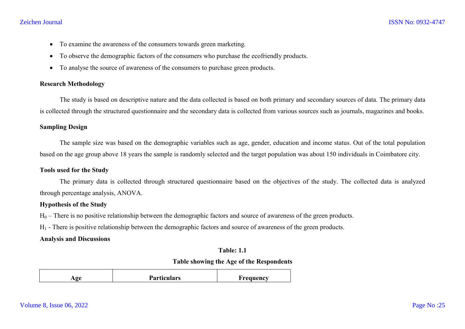#### Zeichen Journal

- To examine the awareness of the consumers towards green marketing.
- To observe the demographic factors of the consumers who purchase the ecofriendly products.
- To analyse the source of awareness of the consumers to purchase green products.

## **Research Methodology**

The study is based on descriptive nature and the data collected is based on both primary and secondary sources of data. The primary data is collected through the structured questionnaire and the secondary data is collected from various sources such as journals, magazines and books.

## **Sampling Design**

The sample size was based on the demographic variables such as age, gender, education and income status. Out of the total population based on the age group above 18 years the sample is randomly selected and the target population was about 150 individuals in Coimbatore city.

#### **Tools used for the Study**

The primary data is collected through structured questionnaire based on the objectives of the study. The collected data is analyzed through percentage analysis, ANOVA.

#### **Hypothesis of the Study**

 $H_0$  – There is no positive relationship between the demographic factors and source of awareness of the green products.

 $H_1$  - There is positive relationship between the demographic factors and source of awareness of the green products.

#### **Analysis and Discussions**

#### **Table: 1.1**

#### **Table showing the Age of the Respondents**

|  | Age | <b>Particulars</b> | Frequency |
|--|-----|--------------------|-----------|
|--|-----|--------------------|-----------|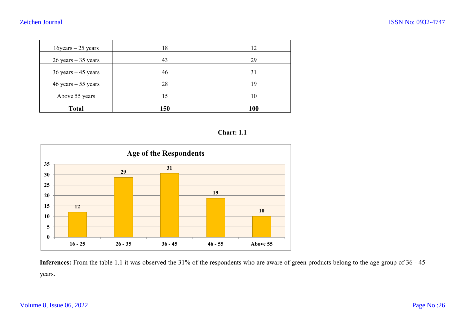| <b>Total</b>           | 150 | <b>100</b> |
|------------------------|-----|------------|
| Above 55 years         | 15  | 10         |
| $46$ years $-55$ years | 28  | 19         |
| $36$ years $-45$ years | 46  | 31         |
| $26$ years $-35$ years | 43  | 29         |
| $16$ years $-25$ years | 18  | 12         |

## **Chart: 1.1**



**Inferences:** From the table 1.1 it was observed the 31% of the respondents who are aware of green products belong to the age group of 36 - 45 years.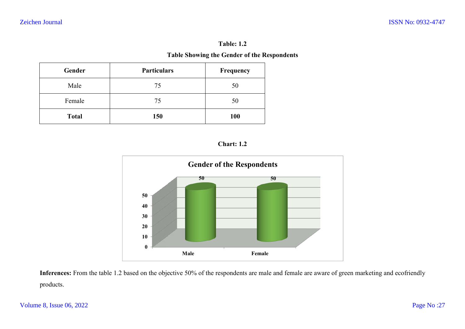# **Table: 1.2**

## **Table Showing the Gender of the Respondents**

| Gender       | <b>Particulars</b> | Frequency  |
|--------------|--------------------|------------|
| Male         | 75                 | 50         |
| Female       | 75                 | 50         |
| <b>Total</b> | 150                | <b>100</b> |





products.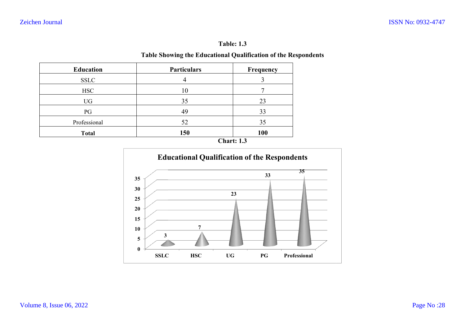# **Table: 1.3**

## **Table Showing the Educational Qualification of the Respondents**

|                  | Table Showing the Educational Qualification of the R | <b>Table: 1.3</b> |
|------------------|------------------------------------------------------|-------------------|
| <b>Education</b> | <b>Particulars</b>                                   | Frequency         |
| <b>SSLC</b>      | 4                                                    | 3                 |
| <b>HSC</b>       | 10                                                   | 7                 |
| UG               | 35                                                   | 23                |
| PG               | 49                                                   | 33                |
| Professional     | 52                                                   | 35                |
| <b>Total</b>     | 150                                                  | 100               |
|                  |                                                      | <b>Chart: 1.3</b> |



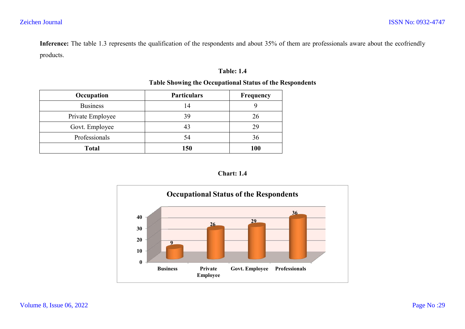**Inference:** The table 1.3 represents the qualification of the respondents and about 35% of them are professionals aware about the ecofrie products. and about 35% of them are professionals aware about the ecofriendly<br> **contains 1.4**<br> **of the Respondents**<br> **order Respondents**<br> **order Respondents**<br> **order Respondents**<br> **order Respondents** 

## **Table: 1.4**

## **Table Showing the Occupational Status of the Respondents**

| Occupation       | <b>Particulars</b> | Frequency |
|------------------|--------------------|-----------|
| <b>Business</b>  | 14                 |           |
| Private Employee | 39                 | 26        |
| Govt. Employee   |                    | 29        |
| Professionals    | 54                 | 36        |
| <b>Total</b>     | 150                | 100       |



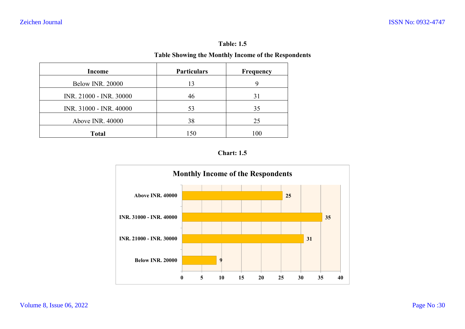# **Table: 1.5**

## **Table Showing the Monthly Income of the Respondents**

| Income                  | <b>Particulars</b> | Frequency |
|-------------------------|--------------------|-----------|
| <b>Below INR. 20000</b> | 13                 | 9         |
| INR. 21000 - INR. 30000 | 46                 | 31        |
| INR. 31000 - INR. 40000 | 53                 | 35        |
| Above INR. 40000        | 38                 | 25        |
| <b>Total</b>            | 150                | 100       |



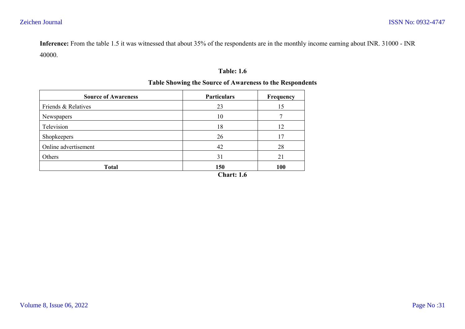**Inference:** From the table 1.5 it was witnessed that about 35% of the respondents are in the monthly income earning about INR. 31000 - INR 40000.

## **Table: 1.6**

## **Table Showing the Source of Awareness to the Respondents**

| <b>Source of Awareness</b> | <b>Particulars</b> | Frequency |
|----------------------------|--------------------|-----------|
| Friends & Relatives        | 23                 | 15        |
| Newspapers                 | 10                 |           |
| Television                 | 18                 | 12        |
| Shopkeepers                | 26                 | 17        |
| Online advertisement       | 42                 | 28        |
| Others                     | 31                 | 21        |
| <b>Total</b>               | 150                | 100       |
|                            | <b>Chart: 1.6</b>  |           |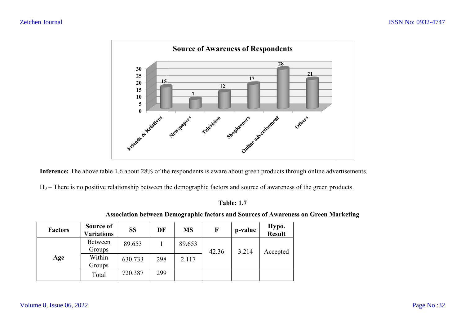

**Inference:** The above table 1.6 about 28% of the respondents is aware about green products through online advertisements.

**Inference:** The above table 1.6 about 28% of the respondents is aware about green products through online advertisen<br>H<sub>0</sub> – There is no positive relationship between the demographic factors and source of awareness of the

## **Table: 1.7**

|                |                                |           |     |           |       |         | <b>Association between Demographic factors and Sources of Awareness on Green Marketing</b> |
|----------------|--------------------------------|-----------|-----|-----------|-------|---------|--------------------------------------------------------------------------------------------|
| <b>Factors</b> | Source of<br><b>Variations</b> | <b>SS</b> | DF  | <b>MS</b> |       | p-value | Hypo.<br><b>Result</b>                                                                     |
|                | Between<br>Groups              | 89.653    |     | 89.653    | 42.36 | 3.214   | Accepted                                                                                   |
| Age            | Within<br>Groups               | 630.733   | 298 | 2.117     |       |         |                                                                                            |
|                | Total                          | 720.387   | 299 |           |       |         |                                                                                            |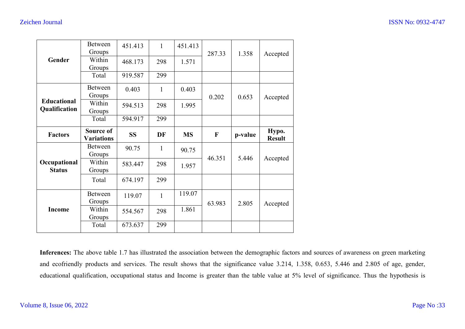|                                     | <b>Between</b><br>Groups | 451.413   | $\mathbf{1}$ | 451.413   | 287.33       | 1.358   | Accepted      |
|-------------------------------------|--------------------------|-----------|--------------|-----------|--------------|---------|---------------|
| Gender                              | Within<br>Groups         | 468.173   | 298          | 1.571     |              |         |               |
|                                     | Total                    | 919.587   | 299          |           |              |         |               |
|                                     | Between<br>Groups        | 0.403     | $\mathbf{1}$ | 0.403     | 0.202        | 0.653   | Accepted      |
| <b>Educational</b><br>Qualification | Within<br>Groups         | 594.513   | 298          | 1.995     |              |         |               |
|                                     | Total                    | 594.917   | 299          |           |              |         |               |
| <b>Factors</b>                      | Source of                | <b>SS</b> | <b>DF</b>    | <b>MS</b> | $\mathbf{F}$ | p-value | Hypo.         |
|                                     | <b>Variations</b>        |           |              |           |              |         | <b>Result</b> |
|                                     | <b>Between</b><br>Groups | 90.75     | 1            | 90.75     |              |         |               |
| Occupational<br><b>Status</b>       | Within<br>Groups         | 583.447   | 298          | 1.957     | 46.351       | 5.446   | Accepted      |
|                                     | Total                    | 674.197   | 299          |           |              |         |               |
|                                     | Between<br>Groups        | 119.07    | $\mathbf{1}$ | 119.07    |              |         |               |
| <b>Income</b>                       | Within<br>Groups         | 554.567   | 298          | 1.861     | 63.983       | 2.805   | Accepted      |

**Inferences:** The above table 1.7 has illustrated the association between the demographic factors and sources of awareness on green marketing and ecofriendly products and services. The result shows that the significance value 3.214, 1.358, 0.653, 5.446 and 2.805 of age, gender, educational qualification, occupational status and Income is greater than the table value at 5% level of significance. Thus the hypothesis is